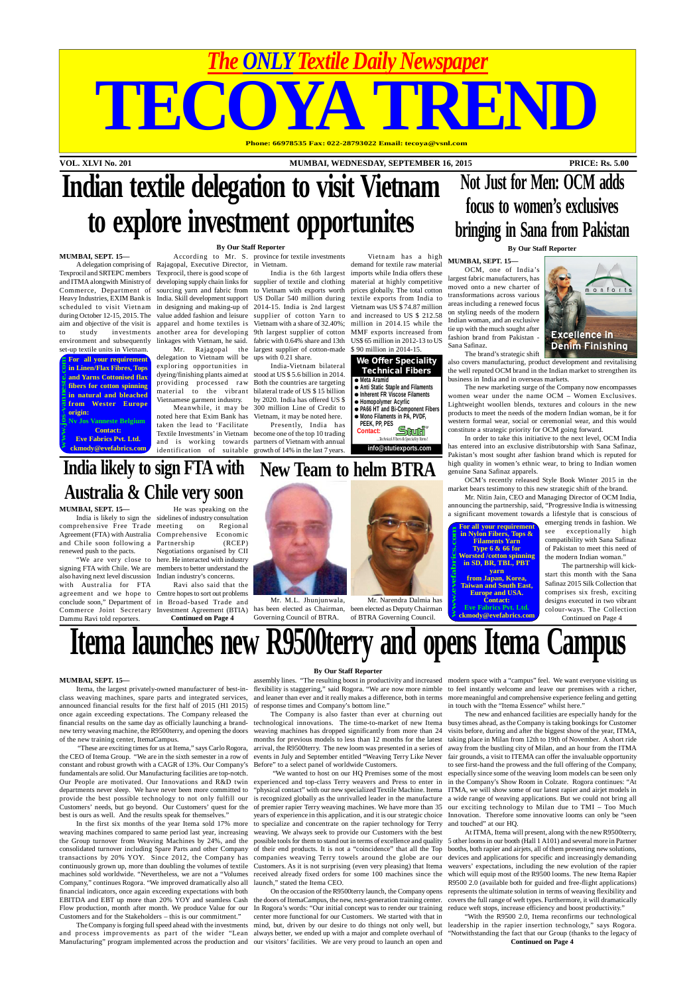**VOL. XLVI No. 201 MUMBAI, WEDNESDAY, SEPTEMBER 16, 2015 PRICE: Rs. 5.00**

# TECOYA TREND **Phone: 66978535 Fax: 022-28793022 Email: tecoya@vsnl.com**

*The ONLY Textile Daily Newspaper*

**For all your requirement in Linen/Flax Fibres, Tops and Yarns Cottonised flax fibers for cotton spinning in natural and bleached from Wester Europe origin: www.jos-vanneste.com**

> **For all your requirement in Nylon Fibers, Tops & Filaments Yarn Type 6 & 66 for Worsted /cotton spinning in SD, BR, TBL, PBT yarn from Japan, Korea, Taiwan and South East, Europe and USA. Contact: Example 18 In Nylon Fibers, Tops &**<br> **Example 18 In Nylon Fibers, Tops &**<br> **Worsted /cotton spinning**<br> **in SD, BR, TBL, PBT**<br> **from Japan, Korea,**<br> **from Japan, Korea,**<br> **from Japan, Korea,**<br> **carries 2001**<br> **carries Post**

**Nv Jos Vanneste Belgium Contact: Eve Fabrics Pvt. Ltd. ckmody@evefabrics.com**



**info@stutiexports.com**

**Eve Fabrics Pvt. Ltd.**

 $\overline{\mathbf{r}}$ 

Mr. M.L. Jhunjunwala,

Governing Council of BTRA.

 $\Lambda$ E $\Lambda$ 



Mr. Narendra Dalmia has of BTRA Governing Council.



# **Indian textile delegation to visit Vietnam to explore investment opportunites**

### **By Our Staff Reporter**

#### **MUMBAI, SEPT. 15—**

Texprocil and SRTEPC members Commerce, Department of Heavy Industries, EXIM Bank is aim and objective of the visit is to study investments environment and subsequently set-up textile units in Vietnam.

A delegation comprising of Rajagopal, Executive Director, in Vietnam. and ITMA alongwith Ministry of developing supply chain links for supplier of textile and clothing material at highly competitive scheduled to visit Vietnam in designing and making-up of 2014-15. India is 2nd largest during October 12-15, 2015. The value added fashion and leisure supplier of cotton Yarn to Texprocil, there is good scope of sourcing yarn and fabric from to Vietnam with exports worth India. Skill development support US Dollar 540 million during apparel and home textiles is Vietnam with a share of 32.40%; another area for developing 9th largest supplier of cotton linkages with Vietnam, he said. fabric with 0.64% share and 13th

According to Mr. S. province for textile investments

delegation to Vietnam will be ups with 0.21 share. exploring opportunities in dyeing/finishing plants aimed at stood at US \$ 5.6 billion in 2014. providing processed raw Both the countries are targeting material to the vibrant bilateral trade of US \$ 15 billion Vietnamese garment industry.

Mr. Rajagopal the largest supplier of cotton-made

Meanwhile, it may be 300 million Line of Credit to India-Vietnam bilateral by 2020. India has offered US \$

noted here that Exim Bank has Vietnam, it may be noted here. taken the lead to 'Facilitate Textile Investments' in Vietnam become one of the top 10 trading and is working towards partners of Vietnam with annual

identification of suitable growth of 14% in the last 7 years. Presently, India has

India is the 6th largest imports while India offers these demand for textile raw material prices globally. The total cotton textile exports from India to Vietnam was US \$ 74.87 million and increased to US \$ 212.58 million in 2014.15 while the MMF exports increased from US\$ 65 million in 2012-13 to US \$ 90 million in 2014-15.

Vietnam has a high

# **Itema launches new R9500terry and opens Itema Campus**

#### **By Our Staff Reporter**

#### **MUMBAI, SEPT. 15—**

EBITDA and EBT up more than 20% YOY and seamless Cash the doors of ItemaCampus, the new, next-generation training center. covers the full range of weft types. Furthermore, it will dramatically Flow production, month after month. We produce Value for our In Rogora's words: "Our initial concept was to render our training Manufacturing" program implemented across the production and our visitors' facilities. We are very proud to launch an open and On the occasion of the R9500terry launch, the Company opens center more functional for our Customers. We started with that in

announced financial results for the first half of 2015 (H1 2015) once again exceeding expectations. The Company released the of the new training center, ItemaCampus.

Itema, the largest privately-owned manufacturer of best-in- flexibility is staggering," said Rogora. "We are now more nimble to feel instantly welcome and leave our premises with a richer, class weaving machines, spare parts and integrated services, and leaner than ever and it really makes a difference, both in terms more meaningful and comprehensive experience feeling and getting assembly lines. "The resulting boost in productivity and increased modern space with a "campus" feel. We want everyone visiting us in touch with the "Itema Essence" whilst here."

constant and robust growth with a CAGR of 13%. Our Company's fundamentals are solid. Our Manufacturing facilities are top-notch. departments never sleep. We have never been more committed to best is ours as well. And the results speak for themselves."

the Group turnover from Weaving Machines by 24%, and the possible tools for them to stand out in terms of excellence and quality 5 other looms in our booth (Hall 1 A101) and several more in Partner consolidated turnover including Spare Parts and other Company of their end products. It is not a "coincidence" that all the Top booths, both rapier and airjets, all of them presenting new solutions, transactions by 20% YOY. Since 2012, the Company has companies weaving Terry towels around the globe are our devices and applications for specific and increasingly demanding continuously grown up, more than doubling the volumes of textile Customers. As it is not surprising (even very pleasing) that Itema weavers' expectations, including the new evolution of the rapier machines sold worldwide. "Nevertheless, we are not a "Volumes received already fixed orders for some 100 machines since the which will equip most of the R9500 looms. The new Itema Rapier At ITMA, Itema will present, along with the new R9500terry, R9500 2.0 (available both for guided and free-flight applications) represents the ultimate solution in terms of weaving flexibility and

The Company is forging full speed ahead with the investments mind, but, driven by our desire to do things not only well, but leadership in the rapier insertion technology," says Rogora. and process improvements as part of the wider "Lean always better, we ended up with a major and complete overhaul of "Notwithstanding the fact that our Group (thanks to the legacy of "With the R9500 2.0, Itema reconfirms our technological **Continued on Page 4**

Company," continues Rogora. "We improved dramatically also all launch," stated the Itema CEO. financial indicators, once again exceeding expectations with both Customers and for the Stakeholders – this is our commitment."

In the first six months of the year Itema sold 17% more to specialize and concentrate on the rapier technology for Terry weaving machines compared to same period last year, increasing weaving. We always seek to provide our Customers with the best "We wanted to host on our HQ Premises some of the most

of response times and Company's bottom line."

The Company is also faster than ever at churning out months for previous models to less than 12 months for the latest Before" to a select panel of worldwide Customers.

Commerce Joint Secretary Investment Agreement (BTIA) has been elected as Chairman, been elected as Deputy Chairman also having next level discussion Indian industry's concerns. with Australia for FTA agreement and we hope to Centre hopes to sort out problems conclude soon," Department of in Broad-based Trade and Ravi also said that the **Continued on Page 4**

financial results on the same day as officially launching a brand-technological innovations. The time-to-market of new Itema busy times ahead, as the Company is taking bookings for Customer new terry weaving machine, the R9500terry, and opening the doors weaving machines has dropped significantly from more than 24 visits before, during and after the biggest show of the year, ITMA, "These are exciting times for us at Itema," says Carlo Rogora, arrival, the R9500terry. The new loom was presented in a series of away from the bustling city of Milan, and an hour from the ITMA the CEO of Itema Group. "We are in the sixth semester in a row of events in July and September entitled "Weaving Terry Like Never fair grounds, a visit to ITEMA can offer the invaluable opportunity Our People are motivated. Our Innovations and R&D twin experienced and top-class Terry weavers and Press to enter in in the Company's Show Room in Colzate. Rogora continues: "At provide the best possible technology to not only fulfill our is recognized globally as the unrivalled leader in the manufacture a wide range of weaving applications. But we could not bring all Customers' needs, but go beyond. Our Customers' quest for the of premier rapier Terry weaving machines. We have more than 35 our exciting technology to Milan due to TMI - Too Much "physical contact" with our new specialized Textile Machine. Itema ITMA, we will show some of our latest rapier and airjet models in years of experience in this application, and it is our strategic choice Innovation. Therefore some innovative looms can only be "seen The new and enhanced facilities are especially handy for the taking place in Milan from 12th to 19th of November. A short ride to see first-hand the prowess and the full offering of the Company, especially since some of the weaving loom models can be seen only and touched" at our HQ.

### **New Team to helm BTRA India likely to sign FTA with**

reduce weft stops, increase efficiency and boost productivity."

**Not Just for Men: OCM adds**

**focus to women's exclusives**

## **bringing in Sana from Pakistan By Our Staff Reporter MUMBAI, SEPT. 15—** OCM, one of India's largest fabric manufacturers, has

moved onto a new charter of transformations across various areas including a renewed focus on styling needs of the modern Indian woman, and an exclusive tie up with the much sought after fashion brand from Pakistan - Sana Safinaz.

monforts **Excellence in Denim Finishing** The brand's strategic shift

also covers manufacturing, product development and revitalising the well reputed OCM brand in the Indian market to strengthen its business in India and in overseas markets.

The new marketing surge of the Company now encompasses women wear under the name OCM – Women Exclusives. Lightweight woollen blends, textures and colours in the new products to meet the needs of the modern Indian woman, be it for western formal wear, social or ceremonial wear, and this would constitute a strategic priority for OCM going forward.

In order to take this initiative to the next level, OCM India has entered into an exclusive distributorship with Sana Safinaz, Pakistan's most sought after fashion brand which is reputed for high quality in women's ethnic wear, to bring to Indian women genuine Sana Safinaz apparels.

OCM's recently released Style Book Winter 2015 in the market bears testimony to this new strategic shift of the brand.

Mr. Nitin Jain, CEO and Managing Director of OCM India, announcing the partnership, said, "Progressive India is witnessing a significant movement towards a lifestyle that is conscious of

emerging trends in fashion. We see exceptionally high compatibility with Sana Safinaz of Pakistan to meet this need of the modern Indian woman."

The partnership will kickstart this month with the Sana Safinaz 2015 Silk Collection that comprises six fresh, exciting designs executed in two vibrant colour-ways. The Collection

Continued on Page 4

**MUMBAI, SEPT. 15—**

renewed push to the pacts.

**Australia & Chile very soon** India is likely to sign the sidelines of industry consultation comprehensive Free Trade Agreement (FTA) with Australia Comprehensive Economic and Chile soon following a Partnership (RCEP) "We are very close to here. He interacted with industry signing FTA with Chile. We are members to better understand the He was speaking on the on Regional Negotiations organised by CII

Dammu Ravi told reporters.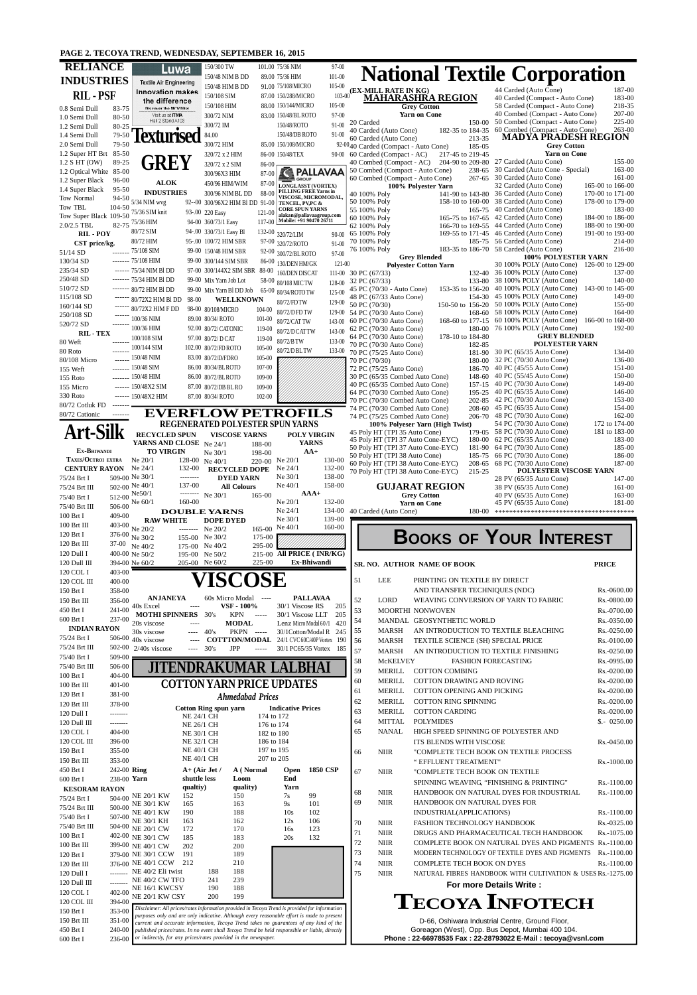## **PAGE 2. TECOYA TREND, WEDNESDAY, SEPTEMBER 16, 2015**

| <b>RELIANCE</b>                                    |                            | Luwa                                                                                                                                                                                                                                                                                                                                                                                                                                                                                      | 150/300 TW                                           |                          | 101.00 75/36 NIM<br>89.00 75/36 HIM                                | 97-00<br>$101 - 00$      | <b>National Textile Corporation</b>                                                                                    |                                                                                                     |                                      |
|----------------------------------------------------|----------------------------|-------------------------------------------------------------------------------------------------------------------------------------------------------------------------------------------------------------------------------------------------------------------------------------------------------------------------------------------------------------------------------------------------------------------------------------------------------------------------------------------|------------------------------------------------------|--------------------------|--------------------------------------------------------------------|--------------------------|------------------------------------------------------------------------------------------------------------------------|-----------------------------------------------------------------------------------------------------|--------------------------------------|
| <b>INDUSTRIES</b>                                  |                            | <b>Textile Air Engineering</b>                                                                                                                                                                                                                                                                                                                                                                                                                                                            | 150/48 NIM B DD<br>150/48 HIM B DD                   |                          | 91.00 75/108/MICRO                                                 | $105 - 00$               | (EX-MILL RATE IN KG)                                                                                                   | 44 Carded (Auto Cone)                                                                               | 187-00                               |
| <b>RIL-PSF</b>                                     |                            | <b>Innovation makes</b><br>the difference                                                                                                                                                                                                                                                                                                                                                                                                                                                 | 150/108 SIM                                          |                          | 87.00 150/288/MICRO                                                | $103 - 00$               | <b>MAHARASHRA REGION</b>                                                                                               | 40 Carded (Compact - Auto Cone)                                                                     | 183-00                               |
| 0.8 Semi Dull                                      | 83-75                      | Discover the MCV filter<br>Visit us at ITMA                                                                                                                                                                                                                                                                                                                                                                                                                                               | 150/108 HIM<br>300/72 NIM                            |                          | 88.00 150/144/MICRO<br>83.00 150/48/BLROTO                         | $105 - 00$<br>$97 - 00$  | <b>Grey Cotton</b><br><b>Yarn on Cone</b>                                                                              | 58 Carded (Compact - Auto Cone)<br>40 Combed (Compact - Auto Cone)                                  | 218-35<br>207-00                     |
| 1.0 Semi Dull<br>1.2 Semi Dull                     | 80-50<br>80-25             | Hall 2 Stand A103                                                                                                                                                                                                                                                                                                                                                                                                                                                                         | 300/72 IM                                            |                          | 150/48/ROTO                                                        | $91-00$                  | 20 Carded                                                                                                              | 150-00 50 Combed (Compact - Auto Cone)<br>60 Combed (Compact - Auto Cone)                           | 225-00<br>$263 - 00$                 |
| 1.4 Semi Dull                                      | 79-50                      |                                                                                                                                                                                                                                                                                                                                                                                                                                                                                           | 84.00                                                |                          | 150/48/DB ROTO                                                     | $91 - 00$                | 182-35 to 184-35<br>40 Carded (Auto Cone)<br>60 Carded (Auto Cone)<br>213-35                                           | <b>MADYA PRADESH REGION</b>                                                                         |                                      |
| 2.0 Semi Dull<br>1.2 Super HT Brt                  | 79-50<br>$85 - 50$         |                                                                                                                                                                                                                                                                                                                                                                                                                                                                                           | 300/72 HIM<br>320/72 x 2 HIM                         |                          | 85.00 150/108/MICRO<br>86-00 150/48/TEX                            | 90-00                    | 92-0040 Carded (Compact - Auto Cone)<br>185-05<br>217-45 to 219-45<br>60 Carded (Compact - AC)                         | <b>Grey Cotton</b><br><b>Yarn on Cone</b>                                                           |                                      |
| 1.2 S HT (OW)                                      | 89-25                      | GREY                                                                                                                                                                                                                                                                                                                                                                                                                                                                                      | 320/72 x 2 SIM                                       | 86-00                    |                                                                    |                          | 40 Combed (Compact - AC)<br>238-65                                                                                     | 204-90 to 209-80 27 Carded (Auto Cone)<br>30 Carded (Auto Cone - Special)                           | 155-00<br>$163 - 00$                 |
| 1.2 Optical White<br>1.2 Super Black               | 85-00<br>$96 - 00$         | <b>ALOK</b>                                                                                                                                                                                                                                                                                                                                                                                                                                                                               | 300/96X3 HIM                                         | 87-00                    | <b>GROUP</b>                                                       | <b>PALLAVAA</b>          | 50 Combed (Compact - Auto Cone)<br>60 Combed (Compact - Auto Cone)                                                     | 267-65 30 Carded (Auto Cone)                                                                        | $161 - 00$                           |
| 1.4 Super Black                                    | $95 - 50$                  | <b>INDUSTRIES</b>                                                                                                                                                                                                                                                                                                                                                                                                                                                                         | 450/96 HIM/WIM<br>300/96 NIM BL DD                   | 87-00<br>88-00           | <b>LONGLASST (VORTEX)</b><br><b>PILLING FREE Yarns in</b>          |                          | 100% Polyester Yarn<br>40 100% Poly                                                                                    | 32 Carded (Auto Cone)<br>141-90 to 143-80 36 Carded (Auto Cone)                                     | 165-00 to 166-00<br>170-00 to 171-00 |
| Tow Normal<br>Tow TBL                              | 94-50<br>104-50            | $5/34$ NIM wvg                                                                                                                                                                                                                                                                                                                                                                                                                                                                            | 92--00 300/96X2 HIM Bl DD 91-00                      |                          | VISCOSE, MICROMODAL,<br>TENCEL, PV, PC &<br><b>CORE SPUN YARNS</b> |                          | 50 100% Poly                                                                                                           | 158-10 to 160-00 38 Carded (Auto Cone)<br>40 Carded (Auto Cone)                                     | 178-00 to 179-00<br>183-00           |
| Tow Super Black 109-50                             |                            | 75/36 SIM knit                                                                                                                                                                                                                                                                                                                                                                                                                                                                            | 93-.00 220 Easy<br>94-00 360/73/1 Easy               | 121-00<br>$117 - 00$     | alakan@pallavaagroup.com<br>Mobile: +91 90470 26711                |                          | 55 100% Poly<br>165-75<br>60 100% Poly                                                                                 | 165-75 to 167-65 42 Carded (Auto Cone)                                                              | 184-00 to 186-00                     |
| $2.0/2.5$ TBL<br><b>RIL-POY</b>                    |                            | 82-75 75/36 HIM<br>80/72 SIM                                                                                                                                                                                                                                                                                                                                                                                                                                                              | 94-.00 330/73/1 Easy Bl                              |                          | 132-00 320/72/LIM                                                  | $90-00$                  | 62 100% Poly<br>65 100% Poly                                                                                           | 166-70 to 169-55 44 Carded (Auto Cone)<br>169-55 to 171-45 46 Carded (Auto Cone)                    | 188-00 to 190-00<br>191-00 to 193-00 |
| CST price/kg.                                      |                            | 80/72 HIM                                                                                                                                                                                                                                                                                                                                                                                                                                                                                 | 95-.00 100/72 HIM SBR                                |                          | 97-00 320/72/ROTO                                                  | $91 - 00$                | 70 100% Poly                                                                                                           | 185-75 56 Carded (Auto Cone)                                                                        | 214-00                               |
| 51/14 SD<br>130/34 SD                              |                            | ------- 75/108 SIM<br>------- 75/108 HIM                                                                                                                                                                                                                                                                                                                                                                                                                                                  | 99-00 150/48 HIM SBR<br>99-00 300/144 SIM SBR        | 86-00                    | 92-00 300/72/BLROTO                                                | 97-00                    | 76 100% Poly<br><b>Grey Blended</b>                                                                                    | 183-35 to 186-70 58 Carded (Auto Cone)<br><b>100% POLYESTER YARN</b>                                | 216-00                               |
| 235/34 SD                                          |                            | ------ 75/34 NIM BI DD                                                                                                                                                                                                                                                                                                                                                                                                                                                                    | 97-00 300/144X2 SIM SBR 88-00                        |                          | 130/DEN HM/GK<br>160/DEN DISCAT                                    | $121 - 00$<br>$111 - 00$ | <b>Polyester Cotton Yarn</b><br>30 PC (67/33)                                                                          | 30 100% POLY (Auto Cone) 126-00 to 129-00<br>132-40 36 100% POLY (Auto Cone)                        | 137-00                               |
| 250/48 SD<br>510/72 SD                             |                            | $--- 75/34$ HIM BI DD                                                                                                                                                                                                                                                                                                                                                                                                                                                                     | 99-00 Mix Yarn Job Lot                               |                          | 58-00 80/108 MIC TW                                                | 128-00                   | 32 PC (67/33)                                                                                                          | 133-80 38 100% POLY (Auto Cone)                                                                     | 140-00                               |
| 115/108 SD                                         |                            | ------- 80/72 HIM BI DD<br>98-00<br>80/72X2 HIM BI DD                                                                                                                                                                                                                                                                                                                                                                                                                                     | 99-00 Mix Yarn Bl DD Job<br>WELLKNOWN                |                          | 65-00 80/34/ROTOTW                                                 | 125-00                   | 45 PC (70/30 - Auto Cone)<br>153-35 to 156-20<br>48 PC (67/33 Auto Cone)<br>154-30                                     | 40 100% POLY (Auto Cone)<br>45 100% POLY (Auto Cone)                                                | 143-00 to 145-00<br>149-00           |
| 160/144 SD                                         |                            | 80/72X2 HIM F DD                                                                                                                                                                                                                                                                                                                                                                                                                                                                          | 98-00 80/108/MICRO                                   | 104-00                   | 80/72/FD TW<br>80/72/D FD TW                                       | 129-00<br>129-00         | 50 PC (70/30)<br>150-50 to 156-20<br>54 PC (70/30 Auto Cone)                                                           | 50 100% POLY (Auto Cone)<br>168-60 58 100% POLY (Auto Cone)                                         | 155-00<br>164-00                     |
| 250/108 SD<br>520/72 SD                            |                            | 100/36 NIM                                                                                                                                                                                                                                                                                                                                                                                                                                                                                | 89.00 80/34/ROTO                                     | 101-00                   | 80/72/CAT TW                                                       | 143-00                   | 168-60 to 177-15<br>60 PC (70/30 Auto Cone)                                                                            | 60 100% POLY (Auto Cone)                                                                            | 166-00 to 168-00                     |
| <b>RIL-TEX</b>                                     |                            | 100/36 HIM<br>100/108 SIM                                                                                                                                                                                                                                                                                                                                                                                                                                                                 | 92.00 80/72/ CATONIC<br>97.00 80/72/ D CAT           | 119-00<br>119-00         | 80/72/D CAT TW                                                     | 143-00                   | 62 PC (70/30 Auto Cone)<br>64 PC (70/30 Auto Cone)<br>178-10 to 184-80                                                 | 180-00 76 100% POLY (Auto Cone)<br><b>GREY BLENDED</b>                                              | 192-00                               |
| 80 Weft<br>80 Roto                                 |                            | 100/144 SIM                                                                                                                                                                                                                                                                                                                                                                                                                                                                               | 102.00 80/72/FD ROTO                                 | 105-00                   | 80/72/B TW<br>80/72/D BL TW                                        | 133-00<br>133-00         | 70 PC (70/30 Auto Cone)<br>182-85<br>70 PC (75/25 Auto Cone)                                                           | <b>POLYESTER YARN</b><br>181-90 30 PC (65/35 Auto Cone)                                             | 134-00                               |
| 80/108 Micro                                       |                            | ------ 150/48 NIM                                                                                                                                                                                                                                                                                                                                                                                                                                                                         | 83.00 80/72/D/FDRO                                   | $105 - 00$               |                                                                    |                          | 70 PC (70/30)<br>180-00                                                                                                | 32 PC (70/30 Auto Cone)                                                                             | 136-00                               |
| 155 Weft<br>155 Roto                               |                            | ------- 150/48 SIM<br>$--- 150/48$ HIM                                                                                                                                                                                                                                                                                                                                                                                                                                                    | 86.00 80/34/BLROTO<br>86.00 80/72/BLROTO             | $107 - 00$<br>109-00     |                                                                    |                          | 72 PC (75/25 Auto Cone)<br>30 PC (65/35 Combed Auto Cone)                                                              | 186-70 40 PC (45/55 Auto Cone)<br>148-60 40 PC (55/45 Auto Cone)                                    | 151-00<br>150-00                     |
| 155 Micro                                          |                            | $--- 150/48X2$ SIM                                                                                                                                                                                                                                                                                                                                                                                                                                                                        | 87.00 80/72/DB BL RO                                 | 109-00                   |                                                                    |                          | 40 PC (65/35 Combed Auto Cone)<br>64 PC (70/30 Combed Auto Cone)                                                       | 157-15 40 PC (70/30 Auto Cone)                                                                      | 149-00                               |
| 330 Roto<br>80/72 Cotluk FD                        |                            | $--- 150/48X2$ HIM                                                                                                                                                                                                                                                                                                                                                                                                                                                                        | 87.00 80/34/ROTO                                     | $102 - 00$               |                                                                    |                          | 70 PC (70/30 Combed Auto Cone)                                                                                         | 195-25 40 PC (65/35 Auto Cone)<br>202-85 42 PC (70/30 Auto Cone)                                    | 146-00<br>153-00                     |
| 80/72 Cationic                                     | -------                    |                                                                                                                                                                                                                                                                                                                                                                                                                                                                                           | <b>EVERFLOW PETROFILS</b>                            |                          |                                                                    |                          | 74 PC (70/30 Combed Auto Cone)<br>74 PC (75/25 Combed Auto Cone)                                                       | 208-60 45 PC (65/35 Auto Cone)<br>206-70 48 PC (70/30 Auto Cone)                                    | 154-00<br>162-00                     |
|                                                    |                            |                                                                                                                                                                                                                                                                                                                                                                                                                                                                                           | <b>REGENERATED POLYESTER SPUN YARNS</b>              |                          |                                                                    |                          | 100% Polyeser Yarn (High Twist)                                                                                        | 54 PC (70/30 Auto Cone)                                                                             | 172 to 174-00                        |
| <b>Art-Silk</b>                                    |                            | <b>RECYCLED SPUN</b><br>YARNS AND CLOSE Ne 24/1                                                                                                                                                                                                                                                                                                                                                                                                                                           | <b>VISCOSE YARNS</b>                                 |                          | <b>POLY VIRGIN</b><br><b>YARNS</b>                                 |                          | 45 Poly HT (TPI 35 Auto Cone)<br>45 Poly HT (TPI 37 Auto Cone-EYC)<br>180-00                                           | 179-05 58 PC (70/30 Auto Cone)<br>62 PC (65/35 Auto Cone)                                           | 181 to 183-00<br>183-00              |
| EX-BHIWANDI                                        |                            | <b>TO VIRGIN</b>                                                                                                                                                                                                                                                                                                                                                                                                                                                                          | Ne 30/1                                              | 188-00<br>198-00         | $AA+$                                                              |                          | 50 Poly HT (TPI 37 Auto Cone-EYC)<br>181-90<br>50 Poly HT (TPI 38 Auto Cone)<br>185-75                                 | 64 PC (70/30 Auto Cone)<br>66 PC (70/30 Auto Cone)                                                  | 185-00<br>186-00                     |
| TAXES/OCTROI EXTRA<br><b>CENTURY RAYON</b> Ne 24/1 |                            | Ne 20/1<br>132-00                                                                                                                                                                                                                                                                                                                                                                                                                                                                         | 128-00 Ne 40/1<br><b>RECYCLED DOPE</b>               | 220-00 Ne 20/1           | Ne 24/1                                                            | 130-00<br>132-00         | 60 Poly HT (TPI 38 Auto Cone-EYC)<br>208-65                                                                            | 68 PC (70/30 Auto Cone)                                                                             | 187-00                               |
| 75/24 Brt I                                        |                            | 509-00 Ne 30/1<br>--------                                                                                                                                                                                                                                                                                                                                                                                                                                                                | <b>DYED YARN</b>                                     |                          | Ne $30/1$                                                          | 138-00                   | 70 Poly HT (TPI 38 Auto Cone-EYC)<br>215-25                                                                            | POLYESTER VISCOSE YARN<br>28 PV (65/35 Auto Cone)                                                   | 147-00                               |
| 75/24 Brt III                                      | 512-00 Ne50/1              | 137-00<br>502-00 Ne 40/1<br>--------                                                                                                                                                                                                                                                                                                                                                                                                                                                      | <b>All Colours</b><br>Ne $30/1$                      | 165-00                   | Ne $40/1$                                                          | 158-00                   | <b>GUJARAT REGION</b>                                                                                                  | 38 PV (65/35 Auto Cone)                                                                             | $161 - 00$<br>163-00                 |
|                                                    |                            |                                                                                                                                                                                                                                                                                                                                                                                                                                                                                           |                                                      |                          |                                                                    |                          |                                                                                                                        |                                                                                                     |                                      |
| 75/40 Brt I                                        |                            | 160-00<br>Ne $60/1$                                                                                                                                                                                                                                                                                                                                                                                                                                                                       |                                                      |                          | $AA+$<br>Ne 20/1                                                   | 132-00                   | <b>Grey Cotton</b><br><b>Yarn on Cone</b>                                                                              | 40 PV (65/35 Auto Cone)<br>45 PV (65/35 Auto Cone)                                                  | 181-00                               |
| 75/40 Brt III<br>100 Brt I                         | 506-00<br>409-00           |                                                                                                                                                                                                                                                                                                                                                                                                                                                                                           | <b>DOUBLE YARNS</b>                                  |                          | Ne 24/1<br>Ne 30/1                                                 | 134-00<br>139-00         | 40 Carded (Auto Cone)<br>180-00                                                                                        |                                                                                                     |                                      |
| 100 Brt III                                        |                            | <b>RAW WHITE</b><br>403-00 Ne 20/2                                                                                                                                                                                                                                                                                                                                                                                                                                                        | <b>DOPE DYED</b><br>-------- Ne 20/2                 | 165-00 Ne 40/1           |                                                                    | 160-00                   |                                                                                                                        |                                                                                                     |                                      |
| 120 Brt I<br>120 Brt III                           |                            | 376-00 Ne 30/2                                                                                                                                                                                                                                                                                                                                                                                                                                                                            | 155-00 Ne 30/2                                       | 175-00<br>295-00         |                                                                    |                          |                                                                                                                        | <b>BOOKS OF YOUR INTEREST</b>                                                                       |                                      |
| 120 Dull I                                         |                            | 37-00 Ne 40/2<br>400-00 Ne 50/2                                                                                                                                                                                                                                                                                                                                                                                                                                                           | 175-00 Ne 40/2<br>195-00 Ne 50/2                     |                          | 215-00 All PRICE (INR/KG)                                          |                          |                                                                                                                        |                                                                                                     |                                      |
| 120 Dull III<br>120 COL I                          | 403-00                     | 394-00 Ne 60/2                                                                                                                                                                                                                                                                                                                                                                                                                                                                            | 205-00 Ne 60/2                                       | 225-00                   | Ex-Bhiwandi                                                        |                          | SR. NO. AUTHOR NAME OF BOOK                                                                                            |                                                                                                     | <b>PRICE</b>                         |
| 120 COL III                                        | 400-00                     |                                                                                                                                                                                                                                                                                                                                                                                                                                                                                           |                                                      |                          |                                                                    |                          | <b>LEE</b><br>51<br>PRINTING ON TEXTILE BY DIRECT                                                                      |                                                                                                     |                                      |
| 150 Brt I                                          | 358-00                     | <b>ANJANEYA</b>                                                                                                                                                                                                                                                                                                                                                                                                                                                                           | 60s Micro Modal                                      | المستندات                | <b>PALLAVAA</b>                                                    |                          | AND TRANSFER TECHNIQUES (NDC)                                                                                          |                                                                                                     | Rs.-0600.00                          |
| 150 Brt III<br>450 Brt I                           | 356-00                     | 241-00 40s Excel<br>$\frac{1}{2} \frac{1}{2} \frac{1}{2} \frac{1}{2} \frac{1}{2} \frac{1}{2} \frac{1}{2} \frac{1}{2} \frac{1}{2} \frac{1}{2} \frac{1}{2} \frac{1}{2} \frac{1}{2} \frac{1}{2} \frac{1}{2} \frac{1}{2} \frac{1}{2} \frac{1}{2} \frac{1}{2} \frac{1}{2} \frac{1}{2} \frac{1}{2} \frac{1}{2} \frac{1}{2} \frac{1}{2} \frac{1}{2} \frac{1}{2} \frac{1}{2} \frac{1}{2} \frac{1}{2} \frac{1}{2} \frac{$                                                                          | VSF - 100%                                           |                          | 30/1 Viscose RS                                                    | 205                      | 52<br><b>LORD</b><br>WEAVING CONVERSION OF YARN TO FABRIC<br>53<br>MOORTHI NONWOVEN                                    |                                                                                                     | Rs.-0800.00<br>Rs.-0700.00           |
| 600 Brt I                                          | 237-00                     | <b>MOTHI SPINNERS</b><br>20s viscose<br>$---$                                                                                                                                                                                                                                                                                                                                                                                                                                             | 30's<br><b>KPN</b><br><b>MODAL</b>                   | ------                   | 30/1 Viscose LLT<br>Lenz Micro Modal 60/1                          | 205<br>420               | 54<br>MANDAL GEOSYNTHETIC WORLD                                                                                        |                                                                                                     | Rs.-0350.00                          |
| <b>INDIAN RAYON</b><br>75/24 Brt I                 |                            | 30s viscose<br>$\frac{1}{2} \left( \frac{1}{2} \right) \left( \frac{1}{2} \right) \left( \frac{1}{2} \right) \left( \frac{1}{2} \right) \left( \frac{1}{2} \right) \left( \frac{1}{2} \right) \left( \frac{1}{2} \right) \left( \frac{1}{2} \right) \left( \frac{1}{2} \right) \left( \frac{1}{2} \right) \left( \frac{1}{2} \right) \left( \frac{1}{2} \right) \left( \frac{1}{2} \right) \left( \frac{1}{2} \right) \left( \frac{1}{2} \right) \left( \frac{1}{2} \right) \left( \frac$ | PKPN -----<br>40's                                   |                          | 30/1Cotton/Modal R 245                                             |                          | AN INTRODUCTION TO TEXTILE BLEACHING<br><b>MARSH</b><br>55                                                             |                                                                                                     | Rs.-0250.00                          |
| 75/24 Brt III                                      |                            | 506-00 $40s$ viscose<br>502-00 2/40s viscose<br>----                                                                                                                                                                                                                                                                                                                                                                                                                                      | <b>COTTTON/MODAL</b><br>30's<br><b>JPP</b>           | $\cdots$                 | 24/1 CVC 60C/40P Vortex 190<br>30/1 PC65/35 Vortex 185             |                          | 56<br><b>MARSH</b><br>TEXTILE SCIENCE (SH) SPECIAL PRICE<br>57<br>AN INTRODUCTION TO TEXTILE FINISHING<br><b>MARSH</b> |                                                                                                     | Rs.-0100.00<br>Rs.-0250.00           |
| 75/40 Brt I                                        | $509-00$ =                 |                                                                                                                                                                                                                                                                                                                                                                                                                                                                                           |                                                      |                          |                                                                    |                          | 58<br>McKELVEY                                                                                                         | <b>FASHION FORECASTING</b>                                                                          | Rs.-0995.00                          |
| 75/40 Brt III<br>100 Brt I                         | 506-00<br>404-00           |                                                                                                                                                                                                                                                                                                                                                                                                                                                                                           | <b>JITENDRAKUMAR LALBHAI</b>                         |                          |                                                                    |                          | 59<br><b>COTTON COMBING</b><br><b>MERILL</b>                                                                           |                                                                                                     | Rs.-0200.00                          |
| 100 Brt III                                        | $401 - 00$                 |                                                                                                                                                                                                                                                                                                                                                                                                                                                                                           | <b>COTTON YARN PRICE UPDATES</b>                     |                          |                                                                    |                          | 60<br><b>MERILL</b><br><b>COTTON DRAWING AND ROVING</b><br><b>MERILL</b><br><b>COTTON OPENING AND PICKING</b><br>0 I   |                                                                                                     | Rs.-0200.00<br>Rs.-0200.00           |
| 120 Brt I<br>120 Brt III                           | 381-00<br>378-00           |                                                                                                                                                                                                                                                                                                                                                                                                                                                                                           | <b>Ahmedabad Prices</b>                              |                          |                                                                    |                          | 62<br><b>MERILL</b><br><b>COTTON RING SPINNING</b>                                                                     |                                                                                                     | Rs.-0200.00                          |
| 120 Dull I                                         | --------                   |                                                                                                                                                                                                                                                                                                                                                                                                                                                                                           | <b>Cotton Ring spun yarn</b><br><b>NE 24/1 CH</b>    | 174 to 172               | <b>Indicative Prices</b>                                           |                          | 63<br><b>MERILL</b><br><b>COTTON CARDING</b>                                                                           |                                                                                                     | Rs.-0200.00                          |
| 120 Dull III                                       | --------                   |                                                                                                                                                                                                                                                                                                                                                                                                                                                                                           | <b>NE 26/1 CH</b>                                    | 176 to 174               |                                                                    |                          | 64<br><b>MITTAL</b><br><b>POLYMIDES</b>                                                                                |                                                                                                     | $$.- 0250.00$                        |
| 120 COL I<br>120 COL III                           | 404-00<br>396-00           |                                                                                                                                                                                                                                                                                                                                                                                                                                                                                           | <b>NE 30/1 CH</b><br><b>NE 32/1 CH</b>               | 182 to 180<br>186 to 184 |                                                                    |                          | 65<br><b>NANAL</b><br>HIGH SPEED SPINNING OF POLYESTER AND<br>ITS BLENDS WITH VISCOSE                                  |                                                                                                     | Rs.-0450.00                          |
| 150 Brt I                                          | 355-00                     |                                                                                                                                                                                                                                                                                                                                                                                                                                                                                           | <b>NE 40/1 CH</b>                                    | 197 to 195               |                                                                    |                          | <b>NIIR</b><br>66                                                                                                      | "COMPLETE TECH BOOK ON TEXTILE PROCESS                                                              |                                      |
| 150 Brt III<br>450 Brt I                           | 353-00                     |                                                                                                                                                                                                                                                                                                                                                                                                                                                                                           | <b>NE 40/1 CH</b>                                    | 207 to 205               |                                                                    |                          | " EFFLUENT TREATMENT"                                                                                                  |                                                                                                     | Rs.-1000.00                          |
| 600 Brt I                                          | 242-00 Ring<br>238-00 Yarn |                                                                                                                                                                                                                                                                                                                                                                                                                                                                                           | $A+$ (Air Jet /<br>A (Normal<br>shuttle less<br>Loom |                          | Open<br>End                                                        | <b>1850 CSP</b>          | 67<br><b>NIIR</b><br>"COMPLETE TECH BOOK ON TEXTILE                                                                    | SPINNING WEAVING, "FINISHING & PRINTING"                                                            | Rs.-1100.00                          |
| <b>KESORAM RAYON</b>                               |                            | qualtiy)<br>152                                                                                                                                                                                                                                                                                                                                                                                                                                                                           | quality)<br>150                                      |                          | Yarn<br>99<br>7s                                                   |                          | <b>NIIR</b><br>68                                                                                                      | HANDBOOK ON NATURAL DYES FOR INDUSTRIAL                                                             | Rs.-1100.00                          |
| 75/24 Brt I<br>75/24 Brt III                       |                            | 504-00 NE 20/1 KW<br>500-00 NE 30/1 KW<br>165                                                                                                                                                                                                                                                                                                                                                                                                                                             | 163                                                  |                          | 9s<br>101                                                          |                          | 69<br><b>NIIR</b><br>HANDBOOK ON NATURAL DYES FOR                                                                      |                                                                                                     |                                      |
| 75/40 Brt I                                        | 507-00                     | <b>NE 40/1 KW</b><br>190<br><b>NE 30/1 KH</b><br>163                                                                                                                                                                                                                                                                                                                                                                                                                                      | 188<br>162                                           |                          | 102<br>10 <sub>s</sub><br>106<br>12s                               |                          | INDUSTRIAL(APPLICATIONS)<br>70<br><b>NIIR</b><br>FASHION TECHNOLOGY HANDBOOK                                           |                                                                                                     | Rs.-1100.00<br>Rs.-0325.00           |
| 75/40 Brt III                                      |                            | $504\text{-}00\,$ NE 20/1 CW<br>172                                                                                                                                                                                                                                                                                                                                                                                                                                                       | 170                                                  |                          | 123<br>16s                                                         |                          | 71<br><b>NIIR</b>                                                                                                      | DRUGS AND PHARMACEUTICAL TECH HANDBOOK                                                              | Rs.-1075.00                          |
| 100 Brt I<br>100 Brt III                           |                            | 402-00 NE 30/1 CW<br>185<br>399-00 NE 40/1 CW<br>202                                                                                                                                                                                                                                                                                                                                                                                                                                      | 183<br>200                                           |                          | 132<br>20s                                                         |                          | 72<br><b>NIIR</b>                                                                                                      | COMPLETE BOOK ON NATURAL DYES AND PIGMENTS Rs.-1100.00                                              |                                      |
| 120 Brt I                                          |                            | 379-00 NE 30/1 CCW<br>191                                                                                                                                                                                                                                                                                                                                                                                                                                                                 | 189                                                  |                          |                                                                    |                          | 73<br><b>NIIR</b>                                                                                                      | MODERN TECHNOLOGY OF TEXTILE DYES AND PIGMENTS                                                      | Rs.-1100.00                          |
| 120 Brt III<br>120 Dull I                          |                            | 376-00 NE 40/1 CCW<br>212<br>________ NE 40/2 Eli twist                                                                                                                                                                                                                                                                                                                                                                                                                                   | 210<br>188<br>188                                    |                          |                                                                    |                          | 74<br><b>NIIR</b><br><b>COMPLETE TECH BOOK ON DYES</b><br>75<br>$N\text{IIR}$                                          | NATURAL FIBRES HANDBOOK WITH CULTIVATION & USES Rs.-1275.00                                         | Rs.-1100.00                          |
| 120 Dull III                                       | --------                   | NE 40/2 CW TFO                                                                                                                                                                                                                                                                                                                                                                                                                                                                            | 241<br>239                                           |                          |                                                                    |                          |                                                                                                                        | <b>For more Details Write:</b>                                                                      |                                      |
| 120 COL I                                          | 402-00                     | NE 16/1 KWCSY<br>NE 20/1 KW CSY                                                                                                                                                                                                                                                                                                                                                                                                                                                           | 190<br>188<br>200<br>199                             |                          |                                                                    |                          |                                                                                                                        |                                                                                                     |                                      |
| 120 COL III<br>150 Brt I                           | 394-00<br>353-00           | Disclaimer: All prices/rates information provided in Tecoya Trend is provided for information                                                                                                                                                                                                                                                                                                                                                                                             |                                                      |                          |                                                                    |                          |                                                                                                                        | <b>TECOYA INFOTECH</b>                                                                              |                                      |
| 150 Brt III<br>450 Brt I                           | 351-00<br>240-00           | purposes only and are only indicative. Although every reasonable effort is made to present<br>current and accurate information, Tecoya Trend takes no guarantees of any kind of the<br>published prices/rates. In no event shall Tecoya Trend be held responsible or liable, directly                                                                                                                                                                                                     |                                                      |                          |                                                                    |                          |                                                                                                                        | D-66, Oshiwara Industrial Centre, Ground Floor,<br>Goreagon (West), Opp. Bus Depot, Mumbai 400 104. |                                      |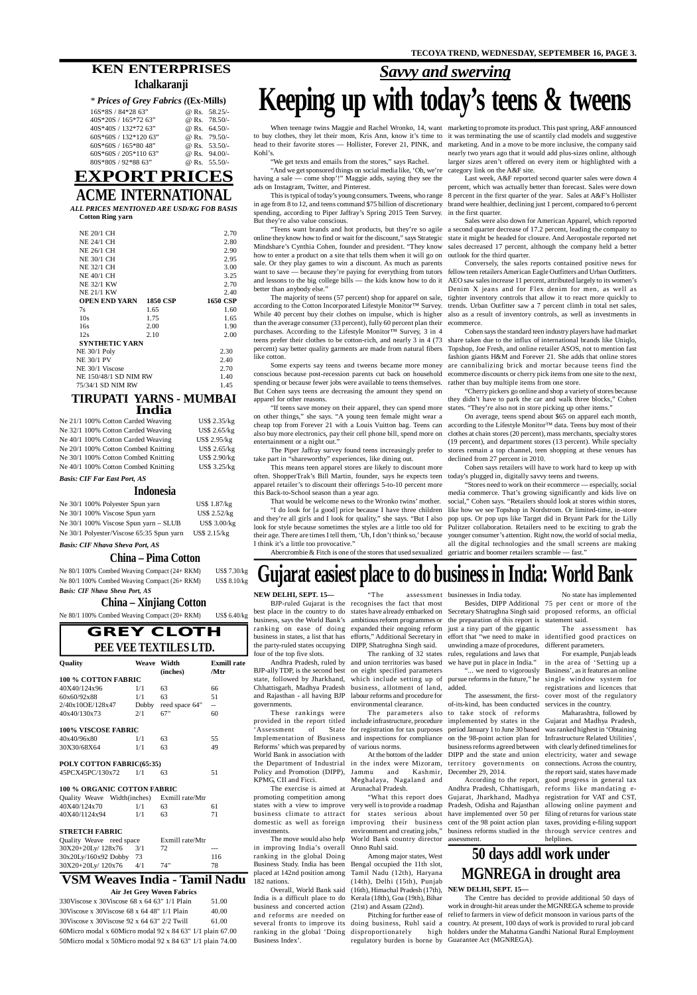*ALL PRICES MENTIONED ARE USD/KG FOB BASIS*

**Cotton Ring yarn**

| <b>NE 20/1 CH</b>             |      | 2.70     |
|-------------------------------|------|----------|
| <b>NE 24/1 CH</b>             |      | 2.80     |
| NE 26/1 CH                    |      | 2.90     |
| <b>NE 30/1 CH</b>             |      | 2.95     |
| <b>NE 32/1 CH</b>             |      | 3.00     |
| <b>NE 40/1 CH</b>             |      | 3.25     |
| <b>NE 32/1 KW</b>             |      | 2.70     |
| <b>NE 21/1 KW</b>             |      | 2.40     |
| <b>OPEN END YARN 1850 CSP</b> |      | 1650 CSP |
| 7s                            | 1.65 | 1.60     |
| 10 <sub>s</sub>               | 1.75 | 1.65     |
| 16s                           | 2.00 | 1.90     |
| 12s                           | 2.10 | 2.00     |
| <b>SYNTHETIC YARN</b>         |      |          |
| NE 30/1 Poly                  |      | 2.30     |
| <b>NE 30/1 PV</b>             |      | 2.40     |
| NE 30/1 Viscose               |      | 2.70     |
| NE 150/48/1 SD NIM RW         |      | 1.40     |
| 75/34/1 SD NIM RW             |      | 1.45     |

## **EXPORT PRICES ACME INTERNATIONAL**

## **GREY CLOTH PEE VEE TEXTILES LTD.**

### **VSM Weaves India - Tamil Nadu**

#### **Air Jet Grey Woven Fabrics**

| 330Viscose x 30Viscose 68 x 64 63" $1/1$ Plain            | 51.00 |
|-----------------------------------------------------------|-------|
| 30Viscose x 30Viscose 68 x 64 48" 1/1 Plain               | 40.00 |
| 30Viscose x 30Viscose $92 \times 64.63$ " $2/2$ Twill     | 61.00 |
| 60Micro modal x 60Micro modal 92 x 84 63" 1/1 plain 67.00 |       |
| 50Micro modal x 50Micro modal 92 x 84 63" 1/1 plain 74.00 |       |
|                                                           |       |

### **TIRUPATI YARNS - MUMBAI India**

| Ne 21/1 100% Cotton Carded Weaving  | US\$ 2.35/kg        |
|-------------------------------------|---------------------|
| Ne 32/1 100% Cotton Carded Weaving  | <b>US\$ 2.65/kg</b> |
| Ne 40/1 100% Cotton Carded Weaving  | US\$ 2.95/kg        |
| Ne 20/1 100% Cotton Combed Knitting | US\$ 2.65/kg        |
| Ne 30/1 100% Cotton Combed Knitting | <b>US\$ 2.90/kg</b> |
| Ne 40/1 100% Cotton Combed Knitting | US\$ 3.25/kg        |
|                                     |                     |

#### *Basis: CIF Far East Port, AS*

### **Indonesia**

| Ne 30/1 100% Polyester Spun yarn          | US\$ 1.87/kg  |
|-------------------------------------------|---------------|
| Ne 30/1 100% Viscose Spun yarn            | US\$ 2.52/kg  |
| Ne $30/1$ 100% Viscose Spun yarn – SLUB   | US\$ 3.00/kg  |
| Ne 30/1 Polyester/Viscose 65:35 Spun yarn | $US\$ 2.15/kg |

*Basis: CIF Nhava Sheva Port, AS*

### **China – Pima Cotton**

Ne 80/1 100% Combed Weaving Compact (24+ RKM) US\$ 7.30/kg Ne 80/1 100% Combed Weaving Compact (26+ RKM) US\$ 8.10/kg *Basis: CIF Nhava Sheva Port, AS*

## **China – Xinjiang Cotton**

Ne 80/1 100% Combed Weaving Compact (20+ RKM) US\$ 6.40/kg

| Quality                            |     | <b>Weave Width</b><br>(inches) | <b>Exmill rate</b><br>/Mtr |
|------------------------------------|-----|--------------------------------|----------------------------|
| <b>100 % COTTON FABRIC</b>         |     |                                |                            |
| 40X40/124x96                       | 1/1 | 63                             | 66                         |
| 60x60/92x88                        | 1/1 | 63                             | 51                         |
| 2/40x10OE/128x47                   |     | Dobby reed space 64"           | $-$                        |
| 40x40/130x73                       | 2/1 | 67"                            | 60                         |
| <b>100% VISCOSE FABRIC</b>         |     |                                |                            |
| 40x40/96x80                        | 1/1 | 63                             | 55                         |
| 30X30/68X64                        | 1/1 | 63                             | 49                         |
| POLY COTTON FABRIC(65:35)          |     |                                |                            |
| 45PCX45PC/130x72                   | 1/1 | 63                             | 51                         |
| <b>100 % ORGANIC COTTON FABRIC</b> |     |                                |                            |
| Quality Weave Width(inches)        |     | Exmill rate/Mtr                |                            |
| 40X40/124x70                       | 1/1 | 63                             | 61                         |
| 40X40/1124x94                      | 1/1 | 63                             | 71                         |
| <b>STRETCH FABRIC</b>              |     |                                |                            |
| Quality Weave reed space           |     | Exmill rate/Mtr                |                            |
| 30X20+20Ly/ 128x76                 | 3/1 | 72                             |                            |
| 30x20Ly/160x92 Dobby 73            |     |                                | 116                        |
| 30X20+20Ly/ 120x76                 | 4/1 | 74"                            | 78                         |

## **KEN ENTERPRISES Ichalkaranji**

#### *\* Prices of Grey Fabrics (***(Ex-Mills)**

| $16S*8S / 84*2863"$        | @ Rs. 58.25/-   |
|----------------------------|-----------------|
| $40S*20S / 165*7263"$      | @ Rs. 78.50/-   |
| 40S*40S / 132*72 63"       | @ Rs. $64.50/-$ |
| $60S * 60S / 132 * 12063"$ | @ Rs. 79.50/-   |
| $60S * 60S / 165 * 8048$   | @ Rs. 53.50/-   |
| $60S*60S / 205*110 63"$    | @ Rs. 94.00/-   |
| 80S*80S / 92*88 63"        | @ Rs. $55.50/-$ |

## *Savvy and swerving* **Keeping up with today's teens & tweens**

Kohl's.

"We get texts and emails from the stores," says Rachel.

### When teenage twins Maggie and Rachel Wronko, 14, want marketing to promote its product. This past spring, A&F announced to buy clothes, they let their mom, Kris Ann, know it's time to it was terminating the use of scantily clad models and suggestive head to their favorite stores — Hollister, Forever 21, PINK, and marketing. And in a move to be more inclusive, the company said nearly two years ago that it would add plus-sizes online, although larger sizes aren't offered on every item or highlighted with a

"And we get sponsored things on social media like, 'Oh, we're category link on the A&F site. having a sale — come shop'!" Maggie adds, saying they see the ads on Instagram, Twitter, and Pinterest.

in age from 8 to 12, and teens command \$75 billion of discretionary brand were healthier, declining just 1 percent, compared to 6 percent spending, according to Piper Jaffray's Spring 2015 Teen Survey. in the first quarter. But they're also value conscious.

online they know how to find or wait for the discount," says Strategic state it might be headed for closure. And Aeropostale reported net Mindshare's Cynthia Cohen, founder and president. "They know sales decreased 17 percent, although the company held a better how to enter a product on a site that tells them when it will go on sale. Or they play games to win a discount. As much as parents want to save — because they're paying for everything from tutors fellow teen retailers American Eagle Outfitters and Urban Outfitters. and lessons to the big college bills — the kids know how to do it AEO saw sales increase 11 percent, attributed largely to its women's better than anybody else."

according to the Cotton Incorporated Lifestyle Monitor™ Survey. While 40 percent buy their clothes on impulse, which is higher also as a result of inventory controls, as well as investments in than the average consumer (33 percent), fully 60 percent plan their purchases. According to the Lifestyle Monitor™ Survey, 3 in 4 teens prefer their clothes to be cotton-rich, and nearly 3 in 4 (73 percent) say better quality garments are made from natural fibers like cotton.

Some experts say teens and tweens became more money conscious because post-recession parents cut back on household spending or because fewer jobs were available to teens themselves. But Cohen says teens are decreasing the amount they spend on apparel for other reasons.

"If teens save money on their apparel, they can spend more states. "They're also not in store picking up other items." on other things," she says. "A young teen female might wear a cheap top from Forever 21 with a Louis Vuitton bag. Teens can according to the Lifestyle Monitor™ data. Teens buy most of their also buy more electronics, pay their cell phone bill, spend more on entertainment or a night out."

This is typical of today's young consumers. Tweens, who range 8 percent in the first quarter of the year. Sales at A&F's Hollister Last week, A&F reported second quarter sales were down 4 percent, which was actually better than forecast. Sales were down

take part in "shareworthy" experiences, like dining out.

several fronts to improve its doing business, Ruhl said a country. At present, 100 days of work is provided to rural job card Pitching for further ease of relief to farmers in view of deficit monsoon in various parts of the regulatory burden is borne by Guarantee Act (MGNREGA).The Centre has decided to provide additional 50 days of work in drought-hit areas under the MGNREGA scheme to provide high holders under the Mahatma Gandhi National Rural Employment

"Teens want brands and hot products, but they're so agile a second quarter decrease of 17.2 percent, leading the company to Sales were also down for American Apparel, which reported outlook for the third quarter.

This means teen apparel stores are likely to discount more often. ShopperTrak's Bill Martin, founder, says he expects teen today's plugged in, digitally savvy teens and tweens. apparel retailer's to discount their offerings 5-to-10 percent more this Back-to-School season than a year ago.

That would be welcome news to the Wronko twins' mother. and they're all girls and I look for quality," she says. "But I also look for style because sometimes the styles are a little too old for Pulitzer collaboration. Retailers need to be exciting to grab the their age. There are times I tell them, 'Uh, I don't think so,' because I think it's a little too provocative."

The majority of teens (57 percent) shop for apparel on sale, tighter inventory controls that allow it to react more quickly to Conversely, the sales reports contained positive news for Denim X jeans and for Flex denim for men, as well as trends. Urban Outfitter saw a 7 percent climb in total net sales, ecommerce.

The Piper Jaffray survey found teens increasingly prefer to stores remain a top channel, teen shopping at these venues has On average, teens spend about \$65 on apparel each month, clothes at chain stores (20 percent), mass merchants, specialty stores (19 percent), and department stores (13 percent). While specialty declined from 27 percent in 2010.

"I do look for [a good] price because I have three children like how we see Topshop in Nordstrom. Or limited-time, in-store "Stores need to work on their ecommerce — especially, social media commerce. That's growing significantly and kids live on social," Cohen says. "Retailers should look at stores within stores, pop ups. Or pop ups like Target did in Bryant Park for the Lilly younger consumer's attention. Right now, the world of social media, all the digital technologies and the small screens are making

Abercrombie & Fitch is one of the stores that used sexualized geriatric and boomer retailers scramble — fast."

Cohen says the standard teen industry players have had market share taken due to the influx of international brands like Uniqlo, Topshop, Joe Fresh, and online retailer ASOS, not to mention fast fashion giants H&M and Forever 21. She adds that online stores are cannibalizing brick and mortar because teens find the ecommerce discounts or cherry pick items from one site to the next, rather than buy multiple items from one store.

"Cherry pickers go online and shop a variety of stores because they didn't have to park the car and walk three blocks," Cohen

Cohen says retailers will have to work hard to keep up with

## **Gujarat easiest place to do business in India: World Bank**

#### **NEW DELHI, SEPT. 15—**

four of the top five slots.

BJP-ally TDP, is the second best on eight specified parameters state, followed by Jharkhand, which include setting up of pursue reforms in the future," he single window system for Chhattisgarh, Madhya Pradesh business, allotment of land, added. and Rajasthan - all having BJP labour reforms and procedure for governments.

These rankings were provided in the report titled 'Assessment of State Implementation of Business Reforms' which was prepared by World Bank in association with the Department of Industrial Policy and Promotion (DIPP), KPMG, CII and Ficci.

The exercise is aimed at promoting competition among domestic as well as foreign investments. The move would also help

the party-ruled states occupying DIPP, Shatrughna Singh said. Andhra Pradesh, ruled by and union territories was based The ranking of 32 states

in improving India's overall ranking in the global Doing Business Study. India has been placed at 142nd position among Tamil Nadu (12th), Haryana 182 nations.

Overall, World Bank said India is a difficult place to do business and concerted action and reforms are needed on ranking in the global 'Doing disproportionately high Business Index'.

BJP-ruled Gujarat is the recognises the fact that most best place in the country to do states have already embarked on Secretary Shatrughna Singh said proposed reforms, an official business, says the World Bank's ambitious reform programmes or the preparation of this report is statement said. ranking on ease of doing expanded their ongoing reform just a tiny part of the gigantic

business in states, a list that has efforts," Additional Secretary in effort that "we need to make in identified good practices on unwinding a maze of procedures, different parameters. rules, regulations and laws that we have put in place in India." "... we need to vigorously

environmental clearance.

for registration for tax purposes of various norms.

"The assessment businesses in India today.

Jammu and Kashmir, December 29, 2014. Meghalaya, Nagaland and

Arunachal Pradesh. environment and creating jobs," World Bank country director

states with a view to improve very well is to provide a roadmap Pradesh, Odisha and Rajasthan allowing online payment and business climate to attract for states serious about have implemented over 50 per filing of returns for various state "What this report does Gujarat, Jharkhand, Madhya registration for VAT and CST, improving their business cent of the 98 point action plan taxes, providing e-filing support According to the report, Andhra Pradesh, Chhattisgarh, reforms like mandating ebusiness reforms studied in the through service centres and assessment.

Onno Ruhl said. Among major states, West Bengal occupied the 11th slot, (14th), Delhi (15th), Punjab

Kerala (18th), Goa (19th), Bihar (21st) and Assam (22nd).

The parameters also to take stock of reforms include infrastructure, procedure implemented by states in the Gujarat and Madhya Pradesh, and inspections for compliance on the 98-point action plan for At the bottom of the ladder DIPP and the state and union in the index were Mizoram, territory governments on connections. Across the country, period January 1 to June 30 based business reforms agreed between

The assessment, the firstof-its-kind, has been conducted

Besides, DIPP Additional 75 per cent or more of the No state has implemented

#### (16th), Himachal Pradesh (17th), **NEW DELHI, SEPT. 15—**

The assessment has

For example, Punjab leads in the area of 'Setting up a Business', as it features an online registrations and licences that cover most of the regulatory services in the country.

Maharashtra, followed by was ranked highest in 'Obtaining Infrastructure Related Utilities', with clearly defined timelines for electricity, water and sewage the report said, states have made good progress in general tax helplines.

## **50 days addl work under MGNREGA in drought area**